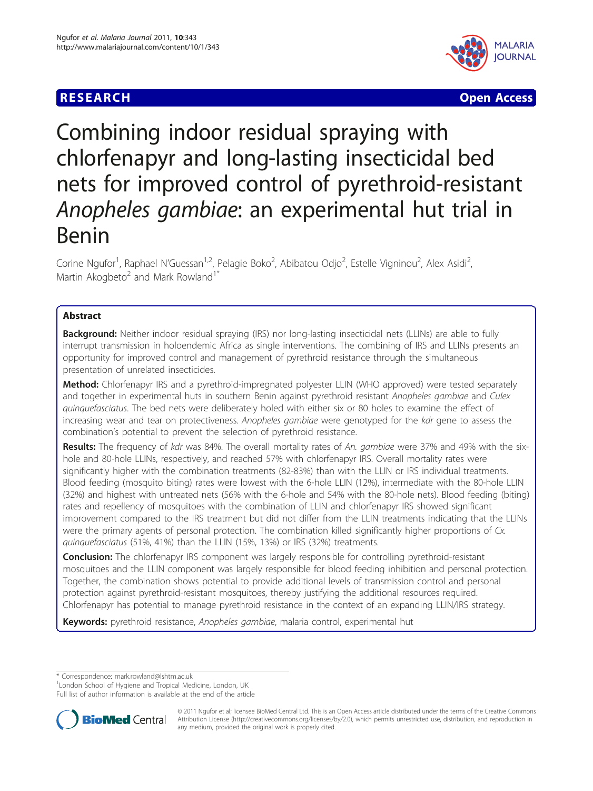# **RESEARCH CONSTRUCTION CONTROL**



# Combining indoor residual spraying with chlorfenapyr and long-lasting insecticidal bed nets for improved control of pyrethroid-resistant Anopheles gambiae: an experimental hut trial in Benin

Corine Ngufor<sup>1</sup>, Raphael N'Guessan<sup>1,2</sup>, Pelagie Boko<sup>2</sup>, Abibatou Odjo<sup>2</sup>, Estelle Vigninou<sup>2</sup>, Alex Asidi<sup>2</sup> , Martin Akogbeto<sup>2</sup> and Mark Rowland<sup>1\*</sup>

# Abstract

**Background:** Neither indoor residual spraying (IRS) nor long-lasting insecticidal nets (LLINs) are able to fully interrupt transmission in holoendemic Africa as single interventions. The combining of IRS and LLINs presents an opportunity for improved control and management of pyrethroid resistance through the simultaneous presentation of unrelated insecticides.

Method: Chlorfenapyr IRS and a pyrethroid-impregnated polyester LLIN (WHO approved) were tested separately and together in experimental huts in southern Benin against pyrethroid resistant Anopheles gambiae and Culex quinquefasciatus. The bed nets were deliberately holed with either six or 80 holes to examine the effect of increasing wear and tear on protectiveness. Anopheles gambiae were genotyped for the kdr gene to assess the combination's potential to prevent the selection of pyrethroid resistance.

Results: The frequency of kdr was 84%. The overall mortality rates of An. gambiae were 37% and 49% with the sixhole and 80-hole LLINs, respectively, and reached 57% with chlorfenapyr IRS. Overall mortality rates were significantly higher with the combination treatments (82-83%) than with the LLIN or IRS individual treatments. Blood feeding (mosquito biting) rates were lowest with the 6-hole LLIN (12%), intermediate with the 80-hole LLIN (32%) and highest with untreated nets (56% with the 6-hole and 54% with the 80-hole nets). Blood feeding (biting) rates and repellency of mosquitoes with the combination of LLIN and chlorfenapyr IRS showed significant improvement compared to the IRS treatment but did not differ from the LLIN treatments indicating that the LLINs were the primary agents of personal protection. The combination killed significantly higher proportions of Cx. quinquefasciatus (51%, 41%) than the LLIN (15%, 13%) or IRS (32%) treatments.

Conclusion: The chlorfenapyr IRS component was largely responsible for controlling pyrethroid-resistant mosquitoes and the LLIN component was largely responsible for blood feeding inhibition and personal protection. Together, the combination shows potential to provide additional levels of transmission control and personal protection against pyrethroid-resistant mosquitoes, thereby justifying the additional resources required. Chlorfenapyr has potential to manage pyrethroid resistance in the context of an expanding LLIN/IRS strategy.

Keywords: pyrethroid resistance, Anopheles gambiae, malaria control, experimental hut

\* Correspondence: [mark.rowland@lshtm.ac.uk](mailto:mark.rowland@lshtm.ac.uk)

<sup>1</sup> London School of Hygiene and Tropical Medicine, London, UK

Full list of author information is available at the end of the article



© 2011 Ngufor et al; licensee BioMed Central Ltd. This is an Open Access article distributed under the terms of the Creative Commons Attribution License [\(http://creativecommons.org/licenses/by/2.0](http://creativecommons.org/licenses/by/2.0)), which permits unrestricted use, distribution, and reproduction in any medium, provided the original work is properly cited.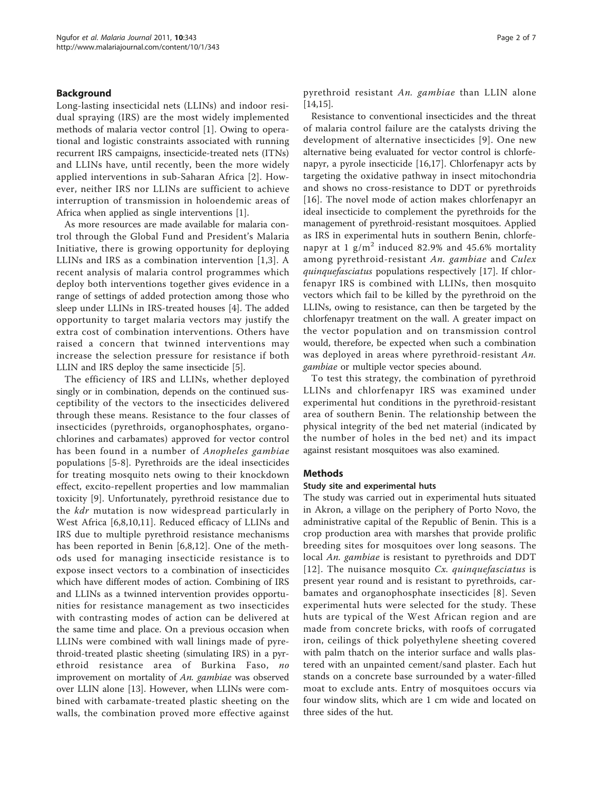## Background

Long-lasting insecticidal nets (LLINs) and indoor residual spraying (IRS) are the most widely implemented methods of malaria vector control [\[1](#page-6-0)]. Owing to operational and logistic constraints associated with running recurrent IRS campaigns, insecticide-treated nets (ITNs) and LLINs have, until recently, been the more widely applied interventions in sub-Saharan Africa [\[2\]](#page-6-0). However, neither IRS nor LLINs are sufficient to achieve interruption of transmission in holoendemic areas of Africa when applied as single interventions [\[1\]](#page-6-0).

As more resources are made available for malaria control through the Global Fund and President's Malaria Initiative, there is growing opportunity for deploying LLINs and IRS as a combination intervention [[1,3](#page-6-0)]. A recent analysis of malaria control programmes which deploy both interventions together gives evidence in a range of settings of added protection among those who sleep under LLINs in IRS-treated houses [[4\]](#page-6-0). The added opportunity to target malaria vectors may justify the extra cost of combination interventions. Others have raised a concern that twinned interventions may increase the selection pressure for resistance if both LLIN and IRS deploy the same insecticide [\[5](#page-6-0)].

The efficiency of IRS and LLINs, whether deployed singly or in combination, depends on the continued susceptibility of the vectors to the insecticides delivered through these means. Resistance to the four classes of insecticides (pyrethroids, organophosphates, organochlorines and carbamates) approved for vector control has been found in a number of Anopheles gambiae populations [\[5-8](#page-6-0)]. Pyrethroids are the ideal insecticides for treating mosquito nets owing to their knockdown effect, excito-repellent properties and low mammalian toxicity [\[9](#page-6-0)]. Unfortunately, pyrethroid resistance due to the *kdr* mutation is now widespread particularly in West Africa [\[6,8](#page-6-0),[10,11](#page-6-0)]. Reduced efficacy of LLINs and IRS due to multiple pyrethroid resistance mechanisms has been reported in Benin [[6,8](#page-6-0),[12\]](#page-6-0). One of the methods used for managing insecticide resistance is to expose insect vectors to a combination of insecticides which have different modes of action. Combining of IRS and LLINs as a twinned intervention provides opportunities for resistance management as two insecticides with contrasting modes of action can be delivered at the same time and place. On a previous occasion when LLINs were combined with wall linings made of pyrethroid-treated plastic sheeting (simulating IRS) in a pyrethroid resistance area of Burkina Faso, no improvement on mortality of An. gambiae was observed over LLIN alone [[13](#page-6-0)]. However, when LLINs were combined with carbamate-treated plastic sheeting on the walls, the combination proved more effective against pyrethroid resistant An. gambiae than LLIN alone [[14,15\]](#page-6-0).

Resistance to conventional insecticides and the threat of malaria control failure are the catalysts driving the development of alternative insecticides [\[9\]](#page-6-0). One new alternative being evaluated for vector control is chlorfenapyr, a pyrole insecticide [[16,17\]](#page-6-0). Chlorfenapyr acts by targeting the oxidative pathway in insect mitochondria and shows no cross-resistance to DDT or pyrethroids [[16](#page-6-0)]. The novel mode of action makes chlorfenapyr an ideal insecticide to complement the pyrethroids for the management of pyrethroid-resistant mosquitoes. Applied as IRS in experimental huts in southern Benin, chlorfenapyr at 1  $g/m^2$  induced 82.9% and 45.6% mortality among pyrethroid-resistant An. gambiae and Culex quinquefasciatus populations respectively [[17\]](#page-6-0). If chlorfenapyr IRS is combined with LLINs, then mosquito vectors which fail to be killed by the pyrethroid on the LLINs, owing to resistance, can then be targeted by the chlorfenapyr treatment on the wall. A greater impact on the vector population and on transmission control would, therefore, be expected when such a combination was deployed in areas where pyrethroid-resistant An. gambiae or multiple vector species abound.

To test this strategy, the combination of pyrethroid LLINs and chlorfenapyr IRS was examined under experimental hut conditions in the pyrethroid-resistant area of southern Benin. The relationship between the physical integrity of the bed net material (indicated by the number of holes in the bed net) and its impact against resistant mosquitoes was also examined.

#### Methods

### Study site and experimental huts

The study was carried out in experimental huts situated in Akron, a village on the periphery of Porto Novo, the administrative capital of the Republic of Benin. This is a crop production area with marshes that provide prolific breeding sites for mosquitoes over long seasons. The local An. gambiae is resistant to pyrethroids and DDT [[12\]](#page-6-0). The nuisance mosquito  $Cx$ . quinquefasciatus is present year round and is resistant to pyrethroids, carbamates and organophosphate insecticides [[8](#page-6-0)]. Seven experimental huts were selected for the study. These huts are typical of the West African region and are made from concrete bricks, with roofs of corrugated iron, ceilings of thick polyethylene sheeting covered with palm thatch on the interior surface and walls plastered with an unpainted cement/sand plaster. Each hut stands on a concrete base surrounded by a water-filled moat to exclude ants. Entry of mosquitoes occurs via four window slits, which are 1 cm wide and located on three sides of the hut.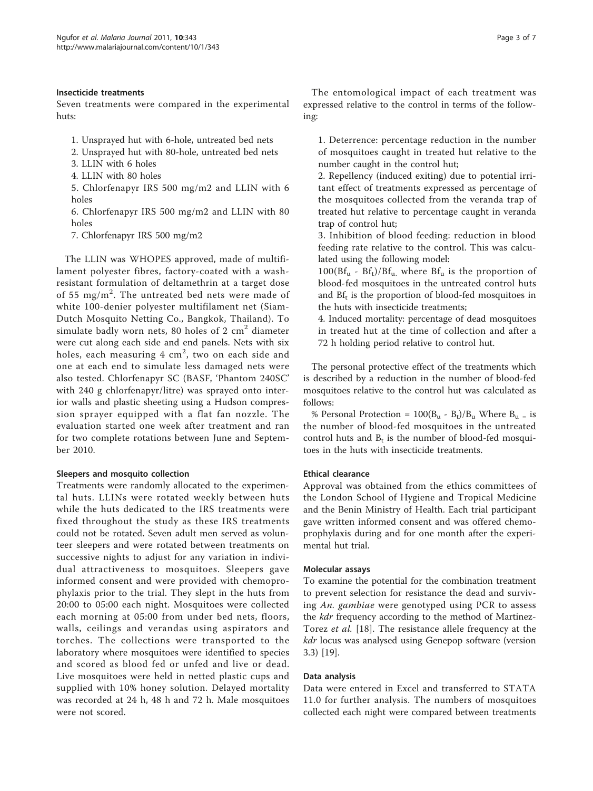# Insecticide treatments

Seven treatments were compared in the experimental huts:

- 1. Unsprayed hut with 6-hole, untreated bed nets
- 2. Unsprayed hut with 80-hole, untreated bed nets
- 3. LLIN with 6 holes
- 4. LLIN with 80 holes

5. Chlorfenapyr IRS 500 mg/m2 and LLIN with 6 holes

6. Chlorfenapyr IRS 500 mg/m2 and LLIN with 80 holes

7. Chlorfenapyr IRS 500 mg/m2

The LLIN was WHOPES approved, made of multifilament polyester fibres, factory-coated with a washresistant formulation of deltamethrin at a target dose of 55 mg/m<sup>2</sup>. The untreated bed nets were made of white 100-denier polyester multifilament net (Siam-Dutch Mosquito Netting Co., Bangkok, Thailand). To simulate badly worn nets, 80 holes of 2  $\text{cm}^2$  diameter were cut along each side and end panels. Nets with six holes, each measuring  $4\,$  cm $^2$ , two on each side and one at each end to simulate less damaged nets were also tested. Chlorfenapyr SC (BASF, 'Phantom 240SC' with 240 g chlorfenapyr/litre) was sprayed onto interior walls and plastic sheeting using a Hudson compression sprayer equipped with a flat fan nozzle. The evaluation started one week after treatment and ran for two complete rotations between June and September 2010.

# Sleepers and mosquito collection

Treatments were randomly allocated to the experimental huts. LLINs were rotated weekly between huts while the huts dedicated to the IRS treatments were fixed throughout the study as these IRS treatments could not be rotated. Seven adult men served as volunteer sleepers and were rotated between treatments on successive nights to adjust for any variation in individual attractiveness to mosquitoes. Sleepers gave informed consent and were provided with chemoprophylaxis prior to the trial. They slept in the huts from 20:00 to 05:00 each night. Mosquitoes were collected each morning at 05:00 from under bed nets, floors, walls, ceilings and verandas using aspirators and torches. The collections were transported to the laboratory where mosquitoes were identified to species and scored as blood fed or unfed and live or dead. Live mosquitoes were held in netted plastic cups and supplied with 10% honey solution. Delayed mortality was recorded at 24 h, 48 h and 72 h. Male mosquitoes were not scored.

The entomological impact of each treatment was

1. Deterrence: percentage reduction in the number of mosquitoes caught in treated hut relative to the number caught in the control hut;

expressed relative to the control in terms of the follow-

2. Repellency (induced exiting) due to potential irritant effect of treatments expressed as percentage of the mosquitoes collected from the veranda trap of treated hut relative to percentage caught in veranda trap of control hut;

3. Inhibition of blood feeding: reduction in blood feeding rate relative to the control. This was calculated using the following model:

 $100(Bf_u - Bf_t)/Bf_u$ , where  $Bf_u$  is the proportion of blood-fed mosquitoes in the untreated control huts and  $Bf_t$  is the proportion of blood-fed mosquitoes in the huts with insecticide treatments;

4. Induced mortality: percentage of dead mosquitoes in treated hut at the time of collection and after a 72 h holding period relative to control hut.

The personal protective effect of the treatments which is described by a reduction in the number of blood-fed mosquitoes relative to the control hut was calculated as follows:

% Personal Protection =  $100(B_u - B_t)/B_u$  Where  $B_u =$  is the number of blood-fed mosquitoes in the untreated control huts and  $B_t$  is the number of blood-fed mosquitoes in the huts with insecticide treatments.

# Ethical clearance

ing:

Approval was obtained from the ethics committees of the London School of Hygiene and Tropical Medicine and the Benin Ministry of Health. Each trial participant gave written informed consent and was offered chemoprophylaxis during and for one month after the experimental hut trial.

# Molecular assays

To examine the potential for the combination treatment to prevent selection for resistance the dead and surviving An. gambiae were genotyped using PCR to assess the *kdr* frequency according to the method of Martinez-Torez et al. [[18\]](#page-6-0). The resistance allele frequency at the kdr locus was analysed using Genepop software (version 3.3) [\[19\]](#page-6-0).

# Data analysis

Data were entered in Excel and transferred to STATA 11.0 for further analysis. The numbers of mosquitoes collected each night were compared between treatments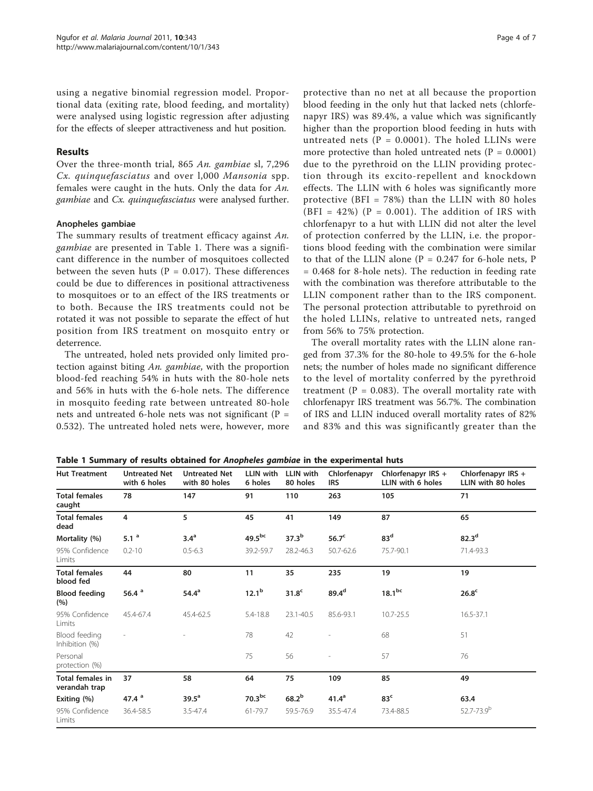using a negative binomial regression model. Proportional data (exiting rate, blood feeding, and mortality) were analysed using logistic regression after adjusting for the effects of sleeper attractiveness and hut position.

# Results

Over the three-month trial, 865 An. gambiae sl, 7,296 Cx. quinquefasciatus and over l,000 Mansonia spp. females were caught in the huts. Only the data for An. gambiae and Cx. quinquefasciatus were analysed further.

# Anopheles gambiae

The summary results of treatment efficacy against An. gambiae are presented in Table 1. There was a significant difference in the number of mosquitoes collected between the seven huts  $(P = 0.017)$ . These differences could be due to differences in positional attractiveness to mosquitoes or to an effect of the IRS treatments or to both. Because the IRS treatments could not be rotated it was not possible to separate the effect of hut position from IRS treatment on mosquito entry or deterrence.

The untreated, holed nets provided only limited protection against biting An. gambiae, with the proportion blood-fed reaching 54% in huts with the 80-hole nets and 56% in huts with the 6-hole nets. The difference in mosquito feeding rate between untreated 80-hole nets and untreated 6-hole nets was not significant (P = 0.532). The untreated holed nets were, however, more

protective than no net at all because the proportion blood feeding in the only hut that lacked nets (chlorfenapyr IRS) was 89.4%, a value which was significantly higher than the proportion blood feeding in huts with untreated nets ( $P = 0.0001$ ). The holed LLINs were more protective than holed untreated nets ( $P = 0.0001$ ) due to the pyrethroid on the LLIN providing protection through its excito-repellent and knockdown effects. The LLIN with 6 holes was significantly more protective (BFI =  $78\%$ ) than the LLIN with 80 holes (BFI = 42%) ( $P = 0.001$ ). The addition of IRS with chlorfenapyr to a hut with LLIN did not alter the level of protection conferred by the LLIN, i.e. the proportions blood feeding with the combination were similar to that of the LLIN alone ( $P = 0.247$  for 6-hole nets,  $P$ = 0.468 for 8-hole nets). The reduction in feeding rate with the combination was therefore attributable to the LLIN component rather than to the IRS component. The personal protection attributable to pyrethroid on the holed LLINs, relative to untreated nets, ranged from 56% to 75% protection.

The overall mortality rates with the LLIN alone ranged from 37.3% for the 80-hole to 49.5% for the 6-hole nets; the number of holes made no significant difference to the level of mortality conferred by the pyrethroid treatment ( $P = 0.083$ ). The overall mortality rate with chlorfenapyr IRS treatment was 56.7%. The combination of IRS and LLIN induced overall mortality rates of 82% and 83% and this was significantly greater than the

Table 1 Summary of results obtained for Anopheles gambiae in the experimental huts

| <b>Hut Treatment</b>                     | <b>Untreated Net</b><br>with 6 holes | <b>Untreated Net</b><br>with 80 holes | LLIN with<br>6 holes | LLIN with<br>80 holes | Chlorfenapyr<br><b>IRS</b> | Chlorfenapyr IRS +<br>LLIN with 6 holes | Chlorfenapyr IRS +<br>LLIN with 80 holes |
|------------------------------------------|--------------------------------------|---------------------------------------|----------------------|-----------------------|----------------------------|-----------------------------------------|------------------------------------------|
| <b>Total females</b><br>caught           | 78                                   | 147                                   | 91                   | 110                   | 263                        | 105                                     | 71                                       |
| <b>Total females</b><br>dead             | 4                                    | 5                                     | 45                   | 41                    | 149                        | 87                                      | 65                                       |
| Mortality (%)                            | 5.1 $^{\circ}$                       | 3.4 <sup>a</sup>                      | $49.5^{bc}$          | 37.3 <sup>b</sup>     | 56.7 <sup>c</sup>          | 83 <sup>d</sup>                         | 82.3 <sup>d</sup>                        |
| 95% Confidence<br>Limits                 | $0.2 - 10$                           | $0.5 - 6.3$                           | 39.2-59.7            | 28.2-46.3             | 50.7-62.6                  | 75.7-90.1                               | 71.4-93.3                                |
| <b>Total females</b><br>blood fed        | 44                                   | 80                                    | 11                   | 35                    | 235                        | 19                                      | 19                                       |
| <b>Blood feeding</b><br>(%)              | 56.4 $a$                             | $54.4^{\circ}$                        | $12.1^b$             | 31.8 <sup>c</sup>     | $89.4^d$                   | 18.1 <sup>bc</sup>                      | 26.8 <sup>c</sup>                        |
| 95% Confidence<br>Limits                 | 45.4-67.4                            | 45.4-62.5                             | 5.4-18.8             | 23.1-40.5             | 85.6-93.1                  | 10.7-25.5                               | 16.5-37.1                                |
| Blood feeding<br>Inhibition (%)          |                                      |                                       | 78                   | 42                    |                            | 68                                      | 51                                       |
| Personal<br>protection (%)               |                                      |                                       | 75                   | 56                    |                            | 57                                      | 76                                       |
| <b>Total females in</b><br>verandah trap | 37                                   | 58                                    | 64                   | 75                    | 109                        | 85                                      | 49                                       |
| Exiting (%)                              | 47.4 $a$                             | 39.5 <sup>a</sup>                     | 70.3 <sup>bc</sup>   | $68.2^{b}$            | 41.4 <sup>a</sup>          | 83 <sup>c</sup>                         | 63.4                                     |
| 95% Confidence<br>Limits                 | 36.4-58.5                            | $3.5 - 47.4$                          | 61-79.7              | 59.5-76.9             | 35.5-47.4                  | 73.4-88.5                               | 52.7-73.9 <sup>b</sup>                   |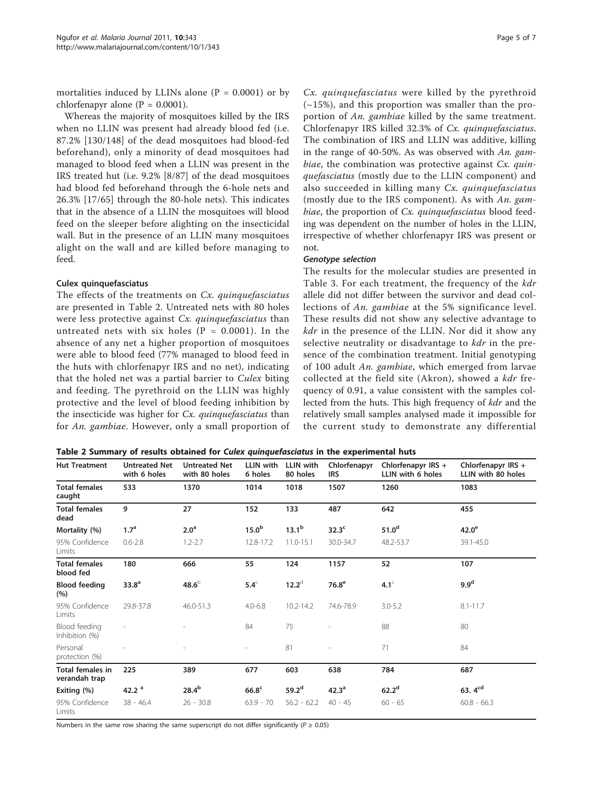mortalities induced by LLINs alone  $(P = 0.0001)$  or by chlorfenapyr alone ( $P = 0.0001$ ).

Whereas the majority of mosquitoes killed by the IRS when no LLIN was present had already blood fed (i.e. 87.2% [130/148] of the dead mosquitoes had blood-fed beforehand), only a minority of dead mosquitoes had managed to blood feed when a LLIN was present in the IRS treated hut (i.e. 9.2% [8/87] of the dead mosquitoes had blood fed beforehand through the 6-hole nets and 26.3% [17/65] through the 80-hole nets). This indicates that in the absence of a LLIN the mosquitoes will blood feed on the sleeper before alighting on the insecticidal wall. But in the presence of an LLIN many mosquitoes alight on the wall and are killed before managing to feed.

#### Culex quinquefasciatus

The effects of the treatments on Cx. quinquefasciatus are presented in Table 2. Untreated nets with 80 holes were less protective against Cx. quinquefasciatus than untreated nets with six holes ( $P = 0.0001$ ). In the absence of any net a higher proportion of mosquitoes were able to blood feed (77% managed to blood feed in the huts with chlorfenapyr IRS and no net), indicating that the holed net was a partial barrier to Culex biting and feeding. The pyrethroid on the LLIN was highly protective and the level of blood feeding inhibition by the insecticide was higher for Cx. quinquefasciatus than for An. gambiae. However, only a small proportion of

Cx. quinquefasciatus were killed by the pyrethroid  $(-15%)$ , and this proportion was smaller than the proportion of An. gambiae killed by the same treatment. Chlorfenapyr IRS killed 32.3% of Cx. quinquefasciatus. The combination of IRS and LLIN was additive, killing in the range of 40-50%. As was observed with An. gambiae, the combination was protective against  $Cx$ . quinquefasciatus (mostly due to the LLIN component) and also succeeded in killing many Cx. quinquefasciatus (mostly due to the IRS component). As with An. gambiae, the proportion of Cx. quinquefasciatus blood feeding was dependent on the number of holes in the LLIN, irrespective of whether chlorfenapyr IRS was present or not.

#### Genotype selection

The results for the molecular studies are presented in Table [3.](#page-5-0) For each treatment, the frequency of the kdr allele did not differ between the survivor and dead collections of An. gambiae at the 5% significance level. These results did not show any selective advantage to kdr in the presence of the LLIN. Nor did it show any selective neutrality or disadvantage to *kdr* in the presence of the combination treatment. Initial genotyping of 100 adult An. gambiae, which emerged from larvae collected at the field site (Akron), showed a kdr frequency of 0.91, a value consistent with the samples collected from the huts. This high frequency of kdr and the relatively small samples analysed made it impossible for the current study to demonstrate any differential

| Table 2 Summary of results obtained for Culex quinquefasciatus in the experimental huts |  |  |  |  |  |  |  |  |
|-----------------------------------------------------------------------------------------|--|--|--|--|--|--|--|--|
|-----------------------------------------------------------------------------------------|--|--|--|--|--|--|--|--|

| <b>Hut Treatment</b>                     | <b>Untreated Net</b><br>with 6 holes | <b>Untreated Net</b><br>with 80 holes | LLIN with<br>6 holes     | LLIN with<br>80 holes | Chlorfenapyr<br><b>IRS</b> | Chlorfenapyr IRS +<br>LLIN with 6 holes | Chlorfenapyr IRS +<br>LLIN with 80 holes |
|------------------------------------------|--------------------------------------|---------------------------------------|--------------------------|-----------------------|----------------------------|-----------------------------------------|------------------------------------------|
| <b>Total females</b><br>caught           | 533                                  | 1370                                  | 1014                     | 1018                  | 1507                       | 1260                                    | 1083                                     |
| <b>Total females</b><br>dead             | 9                                    | 27                                    | 152                      | 133                   | 487                        | 642                                     | 455                                      |
| Mortality (%)                            | 1.7 <sup>a</sup>                     | 2.0 <sup>a</sup>                      | 15.0 <sup>b</sup>        | 13.1 <sup>b</sup>     | 32.3 <sup>c</sup>          | 51.0 <sup>d</sup>                       | $42.0^\mathrm{e}$                        |
| 95% Confidence<br>Limits                 | $0.6 - 2.8$                          | $1.2 - 2.7$                           | 12.8-17.2                | 11.0-15.1             | 30.0-34.7                  | 48.2-53.7                               | 39.1-45.0                                |
| <b>Total females</b><br>blood fed        | 180                                  | 666                                   | 55                       | 124                   | 1157                       | 52                                      | 107                                      |
| <b>Blood feeding</b><br>(%)              | 33.8 <sup>a</sup>                    | 48.6 <sup>b</sup>                     | $5.4^\circ$              | $12.2^{\circ}$        | 76.8 <sup>e</sup>          | $4.1^\circ$                             | 9.9 <sup>d</sup>                         |
| 95% Confidence<br>Limits                 | 29.8-37.8                            | 46.0-51.3                             | $4.0 - 6.8$              | $10.2 - 14.2$         | 74.6-78.9                  | $3.0 - 5.2$                             | $8.1 - 11.7$                             |
| Blood feeding<br>Inhibition (%)          |                                      |                                       | 84                       | 75                    |                            | 88                                      | 80                                       |
| Personal<br>protection (%)               |                                      |                                       | $\overline{\phantom{a}}$ | 81                    |                            | 71                                      | 84                                       |
| <b>Total females in</b><br>verandah trap | 225                                  | 389                                   | 677                      | 603                   | 638                        | 784                                     | 687                                      |
| Exiting (%)                              | 42.2 <sup>a</sup>                    | $28.4^{b}$                            | 66.8 <sup>c</sup>        | 59.2 <sup>d</sup>     | 42.3 <sup>a</sup>          | 62.2 <sup>d</sup>                       | 63. $4^{cd}$                             |
| 95% Confidence<br>Limits                 | $38 - 46.4$                          | $26 - 30.8$                           | $63.9 - 70$              | $56.2 - 62.2$         | $40 - 45$                  | $60 - 65$                               | $60.8 - 66.3$                            |

Numbers in the same row sharing the same superscript do not differ significantly ( $P \ge 0.05$ )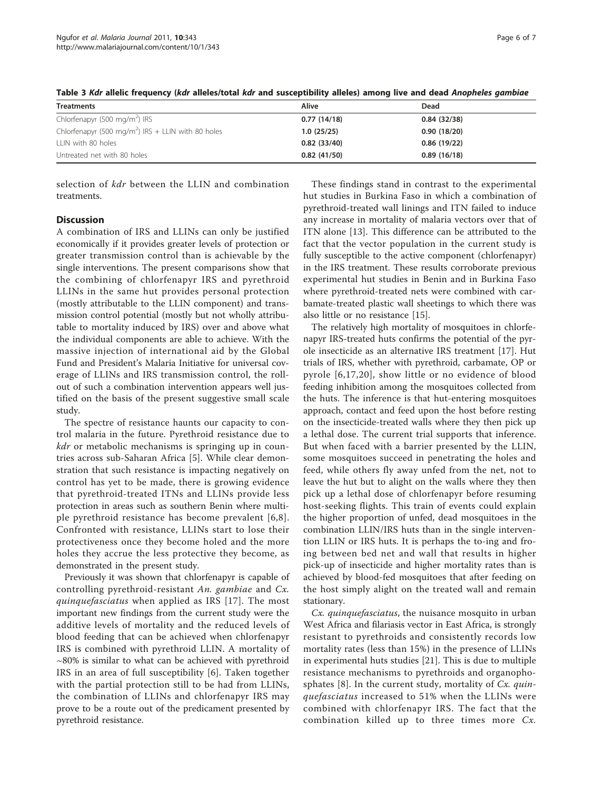<span id="page-5-0"></span>Table 3 Kdr allelic frequency (kdr alleles/total kdr and susceptibility alleles) among live and dead Anopheles gambiae

| <b>Treatments</b>                                              | Alive       | Dead        |
|----------------------------------------------------------------|-------------|-------------|
| Chlorfenapyr (500 mg/m <sup>2</sup> ) IRS                      | 0.77(14/18) | 0.84(32/38) |
| Chlorfenapyr (500 mg/m <sup>2</sup> ) IRS + LLIN with 80 holes | 1.0(25/25)  | 0.90(18/20) |
| LLIN with 80 holes                                             | 0.82(33/40) | 0.86(19/22) |
| Untreated net with 80 holes                                    | 0.82(41/50) | 0.89(16/18) |

selection of kdr between the LLIN and combination treatments.

# **Discussion**

A combination of IRS and LLINs can only be justified economically if it provides greater levels of protection or greater transmission control than is achievable by the single interventions. The present comparisons show that the combining of chlorfenapyr IRS and pyrethroid LLINs in the same hut provides personal protection (mostly attributable to the LLIN component) and transmission control potential (mostly but not wholly attributable to mortality induced by IRS) over and above what the individual components are able to achieve. With the massive injection of international aid by the Global Fund and President's Malaria Initiative for universal coverage of LLINs and IRS transmission control, the rollout of such a combination intervention appears well justified on the basis of the present suggestive small scale study.

The spectre of resistance haunts our capacity to control malaria in the future. Pyrethroid resistance due to kdr or metabolic mechanisms is springing up in countries across sub-Saharan Africa [\[5](#page-6-0)]. While clear demonstration that such resistance is impacting negatively on control has yet to be made, there is growing evidence that pyrethroid-treated ITNs and LLINs provide less protection in areas such as southern Benin where multiple pyrethroid resistance has become prevalent [[6](#page-6-0),[8\]](#page-6-0). Confronted with resistance, LLINs start to lose their protectiveness once they become holed and the more holes they accrue the less protective they become, as demonstrated in the present study.

Previously it was shown that chlorfenapyr is capable of controlling pyrethroid-resistant An. gambiae and Cx. quinquefasciatus when applied as IRS [[17](#page-6-0)]. The most important new findings from the current study were the additive levels of mortality and the reduced levels of blood feeding that can be achieved when chlorfenapyr IRS is combined with pyrethroid LLIN. A mortality of  $~\sim$ 80% is similar to what can be achieved with pyrethroid IRS in an area of full susceptibility [[6\]](#page-6-0). Taken together with the partial protection still to be had from LLINs, the combination of LLINs and chlorfenapyr IRS may prove to be a route out of the predicament presented by pyrethroid resistance.

These findings stand in contrast to the experimental hut studies in Burkina Faso in which a combination of pyrethroid-treated wall linings and ITN failed to induce any increase in mortality of malaria vectors over that of ITN alone [\[13](#page-6-0)]. This difference can be attributed to the fact that the vector population in the current study is fully susceptible to the active component (chlorfenapyr) in the IRS treatment. These results corroborate previous experimental hut studies in Benin and in Burkina Faso where pyrethroid-treated nets were combined with carbamate-treated plastic wall sheetings to which there was also little or no resistance [\[15\]](#page-6-0).

The relatively high mortality of mosquitoes in chlorfenapyr IRS-treated huts confirms the potential of the pyrole insecticide as an alternative IRS treatment [[17\]](#page-6-0). Hut trials of IRS, whether with pyrethroid, carbamate, OP or pyrole [[6,17,20](#page-6-0)], show little or no evidence of blood feeding inhibition among the mosquitoes collected from the huts. The inference is that hut-entering mosquitoes approach, contact and feed upon the host before resting on the insecticide-treated walls where they then pick up a lethal dose. The current trial supports that inference. But when faced with a barrier presented by the LLIN, some mosquitoes succeed in penetrating the holes and feed, while others fly away unfed from the net, not to leave the hut but to alight on the walls where they then pick up a lethal dose of chlorfenapyr before resuming host-seeking flights. This train of events could explain the higher proportion of unfed, dead mosquitoes in the combination LLIN/IRS huts than in the single intervention LLIN or IRS huts. It is perhaps the to-ing and froing between bed net and wall that results in higher pick-up of insecticide and higher mortality rates than is achieved by blood-fed mosquitoes that after feeding on the host simply alight on the treated wall and remain stationary.

Cx. quinquefasciatus, the nuisance mosquito in urban West Africa and filariasis vector in East Africa, is strongly resistant to pyrethroids and consistently records low mortality rates (less than 15%) in the presence of LLINs in experimental huts studies [[21\]](#page-6-0). This is due to multiple resistance mechanisms to pyrethroids and organophosphates  $[8]$  $[8]$ . In the current study, mortality of Cx. quinquefasciatus increased to 51% when the LLINs were combined with chlorfenapyr IRS. The fact that the combination killed up to three times more Cx.